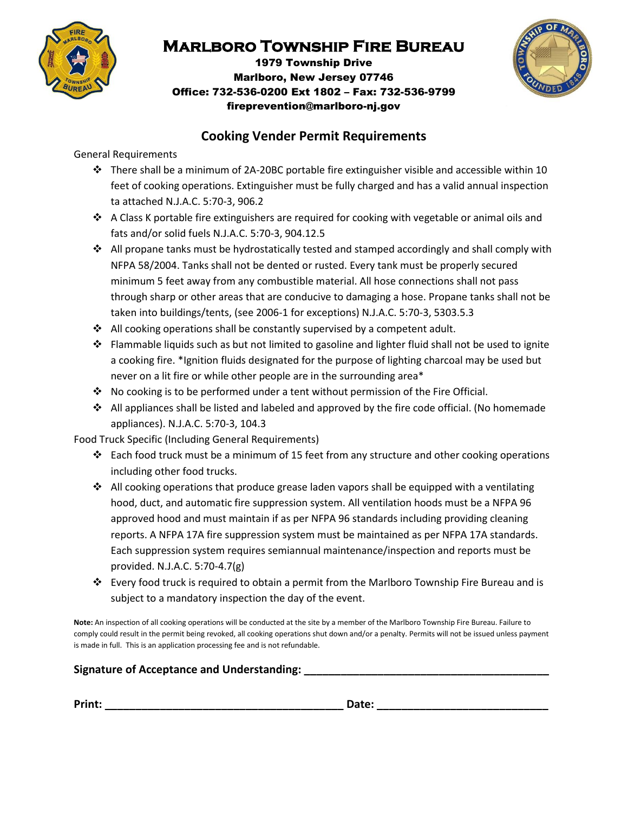

# **Marlboro Township Fire Bureau**

1979 Township Drive Marlboro, New Jersey 07746 Office: 732-536-0200 Ext 1802 – Fax: 732-536-9799 fireprevention@marlboro-nj.gov



### **Cooking Vender Permit Requirements**

General Requirements

- There shall be a minimum of 2A-20BC portable fire extinguisher visible and accessible within 10 feet of cooking operations. Extinguisher must be fully charged and has a valid annual inspection ta attached N.J.A.C. 5:70-3, 906.2
- $\div$  A Class K portable fire extinguishers are required for cooking with vegetable or animal oils and fats and/or solid fuels N.J.A.C. 5:70-3, 904.12.5
- $\div$  All propane tanks must be hydrostatically tested and stamped accordingly and shall comply with NFPA 58/2004. Tanks shall not be dented or rusted. Every tank must be properly secured minimum 5 feet away from any combustible material. All hose connections shall not pass through sharp or other areas that are conducive to damaging a hose. Propane tanks shall not be taken into buildings/tents, (see 2006-1 for exceptions) N.J.A.C. 5:70-3, 5303.5.3
- $\cdot$  All cooking operations shall be constantly supervised by a competent adult.
- Flammable liquids such as but not limited to gasoline and lighter fluid shall not be used to ignite a cooking fire. \*Ignition fluids designated for the purpose of lighting charcoal may be used but never on a lit fire or while other people are in the surrounding area\*
- $\cdot \cdot$  No cooking is to be performed under a tent without permission of the Fire Official.
- All appliances shall be listed and labeled and approved by the fire code official. (No homemade appliances). N.J.A.C. 5:70-3, 104.3

Food Truck Specific (Including General Requirements)

- Each food truck must be a minimum of 15 feet from any structure and other cooking operations including other food trucks.
- $\cdot$  All cooking operations that produce grease laden vapors shall be equipped with a ventilating hood, duct, and automatic fire suppression system. All ventilation hoods must be a NFPA 96 approved hood and must maintain if as per NFPA 96 standards including providing cleaning reports. A NFPA 17A fire suppression system must be maintained as per NFPA 17A standards. Each suppression system requires semiannual maintenance/inspection and reports must be provided. N.J.A.C. 5:70-4.7(g)
- Every food truck is required to obtain a permit from the Marlboro Township Fire Bureau and is subject to a mandatory inspection the day of the event.

**Note:** An inspection of all cooking operations will be conducted at the site by a member of the Marlboro Township Fire Bureau. Failure to comply could result in the permit being revoked, all cooking operations shut down and/or a penalty. Permits will not be issued unless payment is made in full. This is an application processing fee and is not refundable.

### **Signature of Acceptance and Understanding: \_\_\_\_\_\_\_\_\_\_\_\_\_\_\_\_\_\_\_\_\_\_\_\_\_\_\_\_\_\_\_\_\_\_\_\_\_\_\_\_**